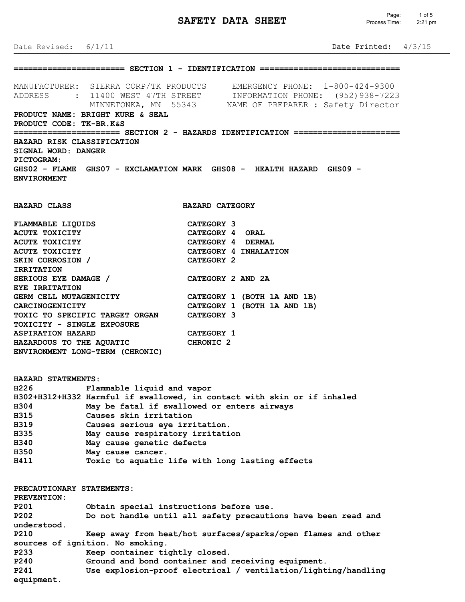# **SAFETY DATA SHEET**

Date Revised: 6/1/11 Date Printed: 4/3/15 **======================= SECTION 1 - IDENTIFICATION =============================** MANUFACTURER: SIERRA CORP/TK PRODUCTS EMERGENCY PHONE: 1-800-424-9300 ADDRESS : 11400 WEST 47TH STREET INFORMATION PHONE: (952)938-7223 MINNETONKA, MN 55343 NAME OF PREPARER : Safety Director **PRODUCT NAME: BRIGHT KURE & SEAL PRODUCT CODE: TK-BR.K&S ====================== SECTION 2 - HAZARDS IDENTIFICATION ====================== HAZARD RISK CLASSIFICATION SIGNAL WORD: DANGER PICTOGRAM: GHS02 - FLAME GHS07 - EXCLAMATION MARK GHS08 - HEALTH HAZARD GHS09 - ENVIRONMENT HAZARD CLASS HAZARD CATEGORY FLAMMABLE LIQUIDS CATEGORY 3 ACUTE TOXICITY CATEGORY 4 ORAL ACUTE TOXICITY CATEGORY 4 DERMAL ACUTE TOXICITY CATEGORY 4 INHALATION** SKIN CORROSION / CATEGORY 2 **IRRITATION SERIOUS EYE DAMAGE / CATEGORY 2 AND 2A EYE IRRITATION GERM CELL MUTAGENICITY CATEGORY 1 (BOTH 1A AND 1B) CARCINOGENICITY CATEGORY 1 (BOTH 1A AND 1B) TOXIC TO SPECIFIC TARGET ORGAN CATEGORY 3 TOXICITY - SINGLE EXPOSURE ASPIRATION HAZARD CATEGORY 1 HAZARDOUS TO THE AQUATIC CHRONIC 2 ENVIRONMENT LONG-TERM (CHRONIC) HAZARD STATEMENTS: H226 Flammable liquid and vapor H302+H312+H332 Harmful if swallowed, in contact with skin or if inhaled H304 May be fatal if swallowed or enters airways H315 Causes skin irritation H319 Causes serious eye irritation. H335 May cause respiratory irritation H340 May cause genetic defects H350 May cause cancer. H411 Toxic to aquatic life with long lasting effects PRECAUTIONARY STATEMENTS: PREVENTION: P201 Obtain special instructions before use. P202 Do not handle until all safety precautions have been read and understood. P210 Keep away from heat/hot surfaces/sparks/open flames and other sources of ignition. No smoking. P233 Keep container tightly closed.**

**P240 Ground and bond container and receiving equipment. P241 Use explosion-proof electrical / ventilation/lighting/handling equipment.**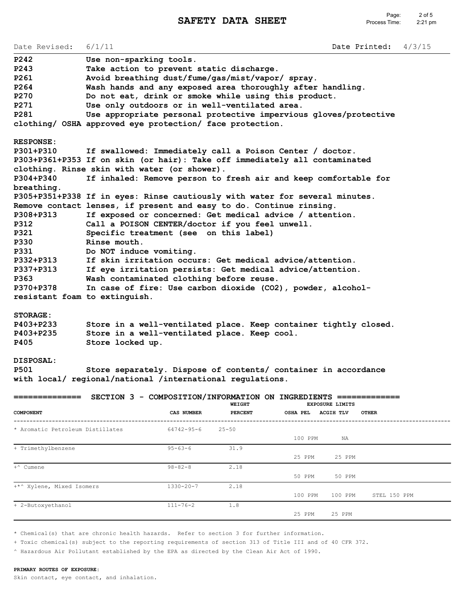Date Revised: 6/1/11 Date Printed: 4/3/15 **P242 Use non-sparking tools. P243 Take action to prevent static discharge. P261 Avoid breathing dust/fume/gas/mist/vapor/ spray. P264 Wash hands and any exposed area thoroughly after handling. P270 Do not eat, drink or smoke while using this product. P271 Use only outdoors or in well-ventilated area. P281 Use appropriate personal protective impervious gloves/protective clothing/ OSHA approved eye protection/ face protection. RESPONSE: P301+P310 If swallowed: Immediately call a Poison Center / doctor. P303+P361+P353 If on skin (or hair): Take off immediately all contaminated clothing. Rinse skin with water (or shower). P304+P340 If inhaled: Remove person to fresh air and keep comfortable for breathing. P305+P351+P338 If in eyes: Rinse cautiously with water for several minutes. Remove contact lenses, if present and easy to do. Continue rinsing. P308+P313 If exposed or concerned: Get medical advice / attention. P312 Call a POISON CENTER/doctor if you feel unwell. P321 Specific treatment (see on this label) P330 Rinse mouth. P331 Do NOT induce vomiting. P332+P313 If skin irritation occurs: Get medical advice/attention. P337+P313 If eye irritation persists: Get medical advice/attention. P363 Wash contaminated clothing before reuse. P370+P378 In case of fire: Use carbon dioxide (CO2), powder, alcoholresistant foam to extinguish.**

## **STORAGE:**

| P403+P233 | Store in a well-ventilated place. Keep container tightly closed. |  |
|-----------|------------------------------------------------------------------|--|
| P403+P235 | Store in a well-ventilated place. Keep cool.                     |  |
| P405      | Store locked up.                                                 |  |

## **DISPOSAL:**

**P501 Store separately. Dispose of contents/ container in accordance with local/ regional/national /international regulations.**

|                                  |                   | WEIGHT         | SECTION 3 - COMPOSITION/INFORMATION ON INGREDIENTS =============<br><b>EXPOSURE LIMITS</b> |
|----------------------------------|-------------------|----------------|--------------------------------------------------------------------------------------------|
| COMPONENT                        | <b>CAS NUMBER</b> | <b>PERCENT</b> | <b>ACGIH TLV</b><br><b>OSHA PEL</b><br><b>OTHER</b>                                        |
| * Aromatic Petroleum Distillates | $64742 - 95 - 6$  | $25 - 50$      |                                                                                            |
|                                  |                   |                | 100 PPM<br>NA                                                                              |
| + Trimethylbenzene               | $95 - 63 - 6$     | 31.9           |                                                                                            |
|                                  |                   |                | 25 PPM<br>25 PPM                                                                           |
| +^ Cumene                        | $98 - 82 - 8$     | 2.18           |                                                                                            |
|                                  |                   |                | 50 PPM<br>50 PPM                                                                           |
| +*^ Xylene, Mixed Isomers        | $1330 - 20 - 7$   | 2.18           |                                                                                            |
|                                  |                   |                | 100 PPM<br>STEL 150 PPM<br>100 PPM                                                         |
| + 2-Butoxyethanol                | $111 - 76 - 2$    | 1.8            |                                                                                            |
|                                  |                   |                | 25 PPM<br>25 PPM                                                                           |

\* Chemical(s) that are chronic health hazards. Refer to section 3 for further information.

+ Toxic chemical(s) subject to the reporting requirements of section 313 of Title III and of 40 CFR 372.

^ Hazardous Air Pollutant established by the EPA as directed by the Clean Air Act of 1990.

#### **PRIMARY ROUTES OF EXPOSURE:**

Skin contact, eye contact, and inhalation.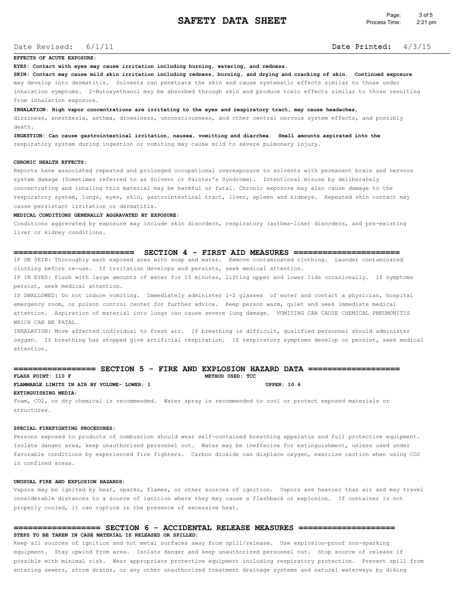## Date Revised:

# 6/1/11 Date Printed: 4/3/15

#### **EFFECTS OF ACUTE EXPOSURE:**

**EYES: Contact with eyes may cause irritation including burning, watering, and redness.**

**SKIN: Contact may cause mild skin irritation including redness, burning, and drying and cracking of skin. Continued exposure** may develop into dermatitis. Solvents can penetrate the skin and cause systematic effects similar to those under inhalation symptoms. 2-Butoxyethanol may be absorbed through skin and produce toxic effects similar to those resulting from inhalation exposure.

**INHALATION: High vapor concentrations are irritating to the eyes and respiratory tract, may cause headaches,**

dizziness, anesthesia, asthma, drowsiness, unconsciousness, and other central nervous system effects, and possibly death.

**INGESTION: Can cause gastrointestinal irritation, nausea, vomitting and diarrhea. Small amounts aspirated into the** respiratory system during ingestion or vomiting may cause mild to severe pulmonary injury.

#### **CHRONIC HEALTH EFFECTS:**

Reports have associated repeated and prolonged occupational overexposure to solvents with permanent brain and nervous system damage (Sometimes referred to as Solvent or Painter's Syndrome). Intentional misuse by deliberately concentrating and inhaling this material may be harmful or fatal. Chronic exposure may also cause damage to the respiratory system, lungs, eyes, skin, gastrointestinal tract, liver, spleen and kidneys. Repeated skin contact may cause persistant irritation or dermatitis.

#### **MEDICAL CONDITIONS GENERALLY AGGRAVATED BY EXPOSURE:**

Conditions aggrevated by exposure may include skin disorders, respiratory (asthma-like) disorders, and pre-existing liver or kidney conditions.

#### **========================= SECTION 4 - FIRST AID MEASURES ======================**

IF ON SKIN: Thoroughly wash exposed area with soap and water. Remove contaminated clothing. Launder contaminated clothing before re-use. If irritation develops and persists, seek medical attention.

IF IN EYES: Flush with large amounts of water for 15 minutes, lifting upper and lower lids occasionally. If symptoms persist, seek medical attention.

If SWALLOWED: Do not induce vomiting. Immediately administer 1-2 glasses of water and contact a physician, hospital emergency room, or poison control center for further advice. Keep person warm, quiet and seek immediate medical attention. Aspiration of material into lungs can cause severe lung damage. VOMITING CAN CAUSE CHEMICAL PNEUMONITIS WHICH CAN BE FATAL.

INHALATION: Move affected individual to fresh air. If breathing is difficult, qualified personnel should administer oxygen. If breathing has stopped give artificial respiration. If respiratory symptoms develop or persist, seek medical attention.

## **================= SECTION 5 - FIRE AND EXPLOSION HAZARD DATA =================== METHOD USED: TCC FLAMMABLE LIMITS IN AIR BY VOLUME- LOWER: 1 UPPER: 10.6**

**EXTINGUISHING MEDIA:**

Foam, CO2, or dry chemical is recommended. Water spray is recommended to cool or protect exposed materials or structures.

#### **SPECIAL FIREFIGHTING PROCEDURES:**

Persons exposed to products of combustion should wear self-contained breathing apparatus and full protective equipment. Isolate danger area, keep unauthorized personnel out. Water may be ineffecive for extinguishment, unless used under favorable conditions by experienced fire fighters. Carbon dioxide can displace oxygen, exercise caution when using CO2 in confined areas.

#### **UNUSUAL FIRE AND EXPLOSION HAZARDS:**

Vapors may be ignited by heat, sparks, flames, or other sources of ignition. Vapors are heavier than air and may travel considerable distances to a source of ignition where they may cause a flashback or explosion. If container is not properly cooled, it can rupture in the presence of excessive heat.

## **================== SECTION 6 - ACCIDENTAL RELEASE MEASURES ==================== STEPS TO BE TAKEN IN CASE MATERIAL IS RELEASED OR SPILLED:**

Keep all sources of ignition and hot metal surfaces away from spill/release. Use explosion-proof non-sparking equipment. Stay upwind from area. Isolate danger and keep unauthorized personnel out. Stop source of release if possible with minimal risk. Wear appropriate protective equipment including respiratory protection. Prevent spill from entering sewers, storm drains, or any other unauthorized treatment drainage systems and natural waterways by diking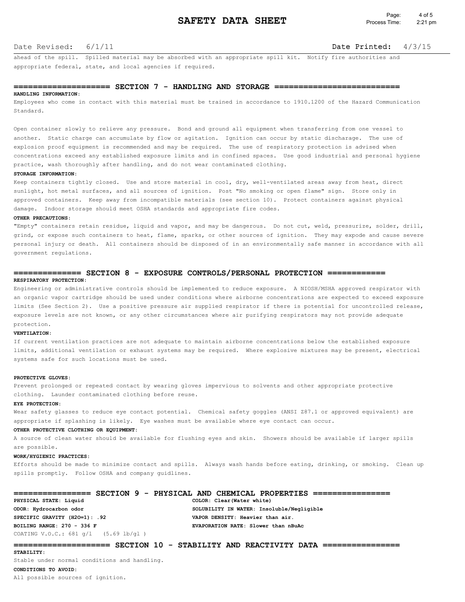### Date Revised:

## 6/1/11 Date Printed: 4/3/15

ahead of the spill. Spilled material may be absorbed with an appropriate spill kit. Notify fire authorities and appropriate federal, state, and local agencies if required.

#### **==================== SECTION 7 - HANDLING AND STORAGE ==========================**

#### **HANDLING INFORMATION:**

Employees who come in contact with this material must be trained in accordance to 1910.1200 of the Hazard Communication Standard.

Open container slowly to relieve any pressure. Bond and ground all equipment when transferring from one vessel to another. Static charge can accumulate by flow or agitation. Ignition can occur by static discharage. The use of explosion proof equipment is recommended and may be required. The use of respiratory protection is advised when concentrations exceed any established exposure limits and in confined spaces. Use good industrial and personal hygiene practice, wash thoroughly after handling, and do not wear contaminated clothing.

#### **STORAGE INFORMATION:**

Keep containers tightly closed. Use and store material in cool, dry, well-ventilated areas away from heat, direct sunlight, hot metal surfaces, and all sources of ignition. Post "No smoking or open flame" sign. Store only in approved containers. Keep away from incompatible materials (see section 10). Protect containers against physical damage. Indoor storage should meet OSHA standards and appropriate fire codes.

#### **OTHER PRECAUTIONS:**

"Empty" containers retain residue, liquid and vapor, and may be dangerous. Do not cut, weld, pressurize, solder, drill, grind, or expose such containers to heat, flame, sparks, or other sources of ignition. They may expode and cause severe personal injury or death. All containers should be disposed of in an environmentally safe manner in accordance with all government regulations.

#### **============== SECTION 8 - EXPOSURE CONTROLS/PERSONAL PROTECTION ============ RESPIRATORY PROTECTION:**

Engineering or administrative controls should be implemented to reduce exposure. A NIOSH/MSHA approved respirator with an organic vapor cartridge should be used under conditions where airborne concentrations are expected to exceed exposure limits (See Section 2). Use a positive pressure air supplied respirator if there is potential for uncontrolled release, exposure levels are not known, or any other circumstances where air purifying respirators may not provide adequate protection.

#### **VENTILATION:**

If current ventilation practices are not adequate to maintain airborne concentrations below the established exposure limits, additional ventilation or exhaust systems may be required. Where explosive mixtures may be present, electrical systems safe for such locations must be used.

#### **PROTECTIVE GLOVES:**

Prevent prolonged or repeated contact by wearing gloves impervious to solvents and other appropriate protective clothing. Launder contaminated clothing before reuse.

#### **EYE PROTECTION:**

Wear safety glasses to reduce eye contact potential. Chemical safety goggles (ANSI Z87.1 or approved equivalent) are appropriate if splashing is likely. Eye washes must be available where eye contact can occur.

#### **OTHER PROTECTIVE CLOTHING OR EQUIPMENT:**

A source of clean water should be available for flushing eyes and skin. Showers should be available if larger spills are possible.

#### **WORK/HYGIENIC PRACTICES:**

Efforts should be made to minimize contact and spills. Always wash hands before eating, drinking, or smoking. Clean up spills promptly. Follow OSHA and company guidlines.

|                                        | ================= SECTION 9 - PHYSICAL AND CHEMICAL PROPERTIES |
|----------------------------------------|----------------------------------------------------------------|
| PHYSICAL STATE: Liquid                 | COLOR: Clear (Water white)                                     |
| ODOR: Hydrocarbon odor                 | SOLUBILITY IN WATER: Insoluble/Negligible                      |
| SPECIFIC GRAVITY (H2O=1): .92          | VAPOR DENSITY: Heavier than air.                               |
| BOILING RANGE: 270 - 336 F             | EVAPORATION RATE: Slower than nBuAc                            |
| COATING V.O.C.: 681 $q/l$ (5.69 lb/ql) |                                                                |

## **==================== SECTION 10 - STABILITY AND REACTIVITY DATA ================**

**STABILITY:**

Stable under normal conditions and handling.

#### **CONDITIONS TO AVOID:**

All possible sources of ignition.